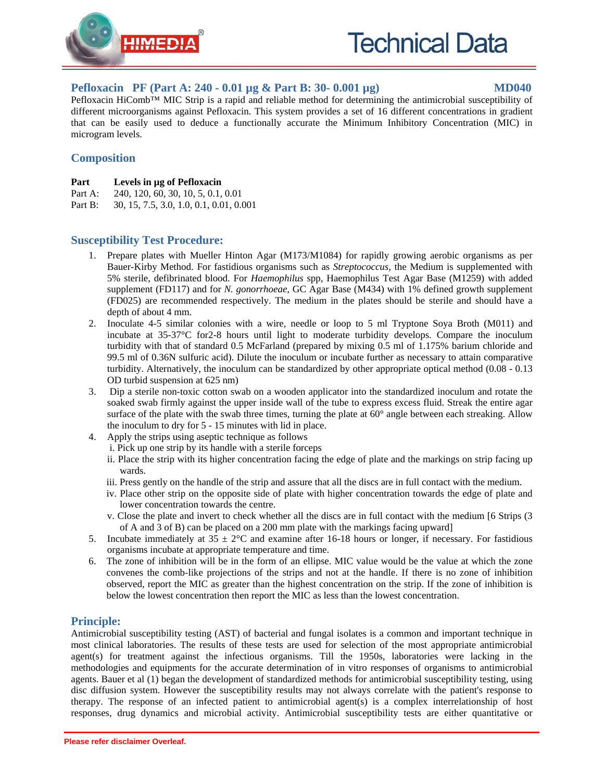

## **Pefloxacin PF (Part A: 240 - 0.01 µg & Part B: 30- 0.001 µg) MD040**

Pefloxacin HiComb™ MIC Strip is a rapid and reliable method for determining the antimicrobial susceptibility of different microorganisms against Pefloxacin. This system provides a set of 16 different concentrations in gradient that can be easily used to deduce a functionally accurate the Minimum Inhibitory Concentration (MIC) in microgram levels.

# **Composition**

- **Part Levels in µg of Pefloxacin**
- Part A: 240, 120, 60, 30, 10, 5, 0.1, 0.01
- Part B: 30, 15, 7.5, 3.0, 1.0, 0.1, 0.01, 0.001

# **Susceptibility Test Procedure:**

- 1. Prepare plates with Mueller Hinton Agar (M173/M1084) for rapidly growing aerobic organisms as per Bauer-Kirby Method. For fastidious organisms such as *Streptococcus*, the Medium is supplemented with 5% sterile, defibrinated blood. For *Haemophilus* spp, Haemophilus Test Agar Base (M1259) with added supplement (FD117) and for *N. gonorrhoeae*, GC Agar Base (M434) with 1% defined growth supplement (FD025) are recommended respectively. The medium in the plates should be sterile and should have a depth of about 4 mm.
- 2. Inoculate 4-5 similar colonies with a wire, needle or loop to 5 ml Tryptone Soya Broth (M011) and incubate at 35-37°C for2-8 hours until light to moderate turbidity develops. Compare the inoculum turbidity with that of standard 0.5 McFarland (prepared by mixing 0.5 ml of 1.175% barium chloride and 99.5 ml of 0.36N sulfuric acid). Dilute the inoculum or incubate further as necessary to attain comparative turbidity. Alternatively, the inoculum can be standardized by other appropriate optical method (0.08 - 0.13 OD turbid suspension at 625 nm)
- 3. Dip a sterile non-toxic cotton swab on a wooden applicator into the standardized inoculum and rotate the soaked swab firmly against the upper inside wall of the tube to express excess fluid. Streak the entire agar surface of the plate with the swab three times, turning the plate at 60° angle between each streaking. Allow the inoculum to dry for 5 - 15 minutes with lid in place.
- 4. Apply the strips using aseptic technique as follows
	- i. Pick up one strip by its handle with a sterile forceps
		- ii. Place the strip with its higher concentration facing the edge of plate and the markings on strip facing up wards.
		- iii. Press gently on the handle of the strip and assure that all the discs are in full contact with the medium.
		- iv. Place other strip on the opposite side of plate with higher concentration towards the edge of plate and lower concentration towards the centre.
		- v. Close the plate and invert to check whether all the discs are in full contact with the medium [6 Strips (3 of A and 3 of B) can be placed on a 200 mm plate with the markings facing upward]
- 5. Incubate immediately at  $35 \pm 2^{\circ}\text{C}$  and examine after 16-18 hours or longer, if necessary. For fastidious organisms incubate at appropriate temperature and time.
- 6. The zone of inhibition will be in the form of an ellipse. MIC value would be the value at which the zone convenes the comb-like projections of the strips and not at the handle. If there is no zone of inhibition observed, report the MIC as greater than the highest concentration on the strip. If the zone of inhibition is below the lowest concentration then report the MIC as less than the lowest concentration.

### **Principle:**

Antimicrobial susceptibility testing (AST) of bacterial and fungal isolates is a common and important technique in most clinical laboratories. The results of these tests are used for selection of the most appropriate antimicrobial agent(s) for treatment against the infectious organisms. Till the 1950s, laboratories were lacking in the methodologies and equipments for the accurate determination of in vitro responses of organisms to antimicrobial agents. Bauer et al (1) began the development of standardized methods for antimicrobial susceptibility testing, using disc diffusion system. However the susceptibility results may not always correlate with the patient's response to therapy. The response of an infected patient to antimicrobial agent(s) is a complex interrelationship of host responses, drug dynamics and microbial activity. Antimicrobial susceptibility tests are either quantitative or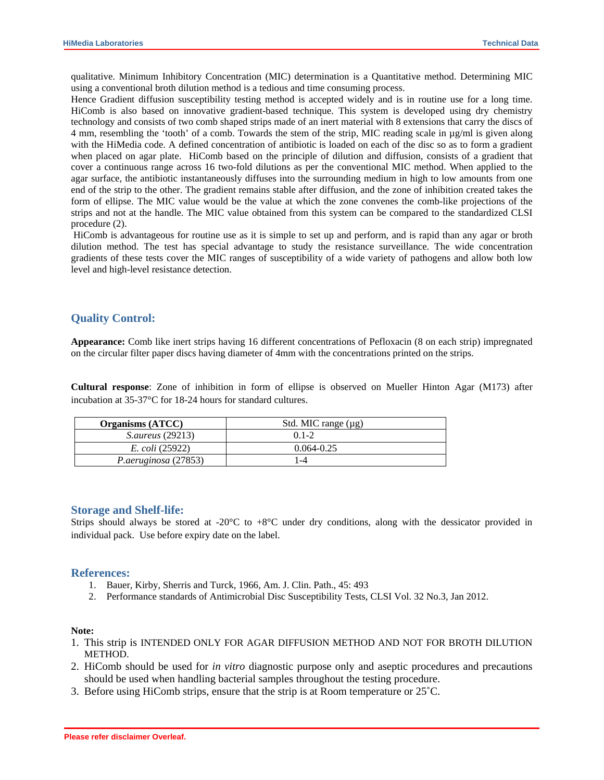qualitative. Minimum Inhibitory Concentration (MIC) determination is a Quantitative method. Determining MIC using a conventional broth dilution method is a tedious and time consuming process.

Hence Gradient diffusion susceptibility testing method is accepted widely and is in routine use for a long time. HiComb is also based on innovative gradient-based technique. This system is developed using dry chemistry technology and consists of two comb shaped strips made of an inert material with 8 extensions that carry the discs of 4 mm, resembling the 'tooth' of a comb. Towards the stem of the strip, MIC reading scale in µg/ml is given along with the HiMedia code. A defined concentration of antibiotic is loaded on each of the disc so as to form a gradient when placed on agar plate. HiComb based on the principle of dilution and diffusion, consists of a gradient that cover a continuous range across 16 two-fold dilutions as per the conventional MIC method. When applied to the agar surface, the antibiotic instantaneously diffuses into the surrounding medium in high to low amounts from one end of the strip to the other. The gradient remains stable after diffusion, and the zone of inhibition created takes the form of ellipse. The MIC value would be the value at which the zone convenes the comb-like projections of the strips and not at the handle. The MIC value obtained from this system can be compared to the standardized CLSI procedure (2).

 HiComb is advantageous for routine use as it is simple to set up and perform, and is rapid than any agar or broth dilution method. The test has special advantage to study the resistance surveillance. The wide concentration gradients of these tests cover the MIC ranges of susceptibility of a wide variety of pathogens and allow both low level and high-level resistance detection.

#### **Quality Control:**

**Appearance:** Comb like inert strips having 16 different concentrations of Pefloxacin (8 on each strip) impregnated on the circular filter paper discs having diameter of 4mm with the concentrations printed on the strips.

**Cultural response**: Zone of inhibition in form of ellipse is observed on Mueller Hinton Agar (M173) after incubation at 35-37°C for 18-24 hours for standard cultures.

| <b>Organisms (ATCC)</b> | Std. MIC range $(\mu g)$ |
|-------------------------|--------------------------|
| <i>S.aureus</i> (29213) | $(11-2)$                 |
| <i>E. coli</i> (25922)  | $0.064 - 0.25$           |
| P.aeruginosa (27853)    | -4                       |

#### **Storage and Shelf-life:**

Strips should always be stored at -20 $^{\circ}$ C to +8 $^{\circ}$ C under dry conditions, along with the dessicator provided in individual pack. Use before expiry date on the label.

#### **References:**

- 1. Bauer, Kirby, Sherris and Turck, 1966, Am. J. Clin. Path., 45: 493
- 2. Performance standards of Antimicrobial Disc Susceptibility Tests, CLSI Vol. 32 No.3, Jan 2012.

#### **Note:**

- 1. This strip is INTENDED ONLY FOR AGAR DIFFUSION METHOD AND NOT FOR BROTH DILUTION METHOD.
- 2. HiComb should be used for *in vitro* diagnostic purpose only and aseptic procedures and precautions should be used when handling bacterial samples throughout the testing procedure.
- 3. Before using HiComb strips, ensure that the strip is at Room temperature or 25˚C.